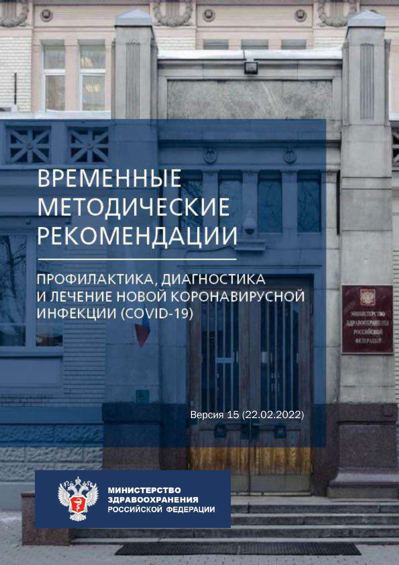## **BPEMEHHHE МЕТОДИЧЕСКИЕ РЕКОМЕНДАЦИИ**

ПРОФИЛАКТИКА, ДИАГНОСТИКА И ЛЕЧЕНИЕ НОВОЙ КОРОНАВИРУСНОЙ ИНФЕКЦИИ (COVID-19)

Версия 15 (22.02.2022)

**rocculicità**li



y in

**МИНИСТЕРСТВО ЗДРАВООХРАНЕНИЯ** РОССИЙСКОЙ ФЕДЕРАЦИИ